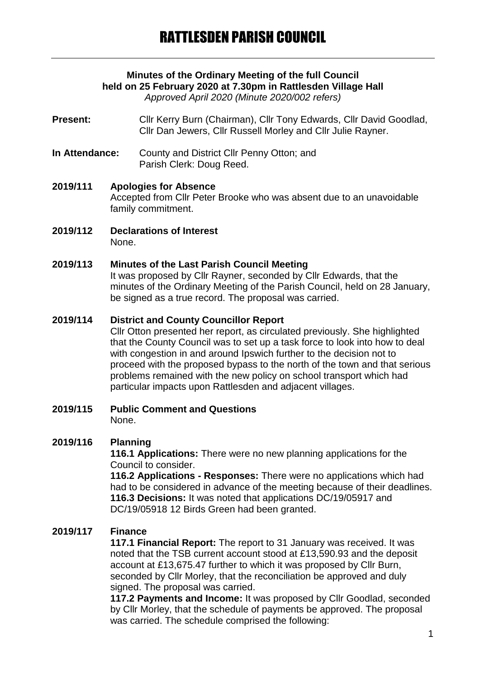# **Minutes of the Ordinary Meeting of the full Council held on 25 February 2020 at 7.30pm in Rattlesden Village Hall**

*Approved April 2020 (Minute 2020/002 refers)*

Present: Cllr Kerry Burn (Chairman), Cllr Tony Edwards, Cllr David Goodlad, Cllr Dan Jewers, Cllr Russell Morley and Cllr Julie Rayner.

- **In Attendance:** County and District Cllr Penny Otton; and Parish Clerk: Doug Reed.
- **2019/111 Apologies for Absence** Accepted from Cllr Peter Brooke who was absent due to an unavoidable family commitment.
- **2019/112 Declarations of Interest** None.

#### **2019/113 Minutes of the Last Parish Council Meeting**

It was proposed by Cllr Rayner, seconded by Cllr Edwards, that the minutes of the Ordinary Meeting of the Parish Council, held on 28 January, be signed as a true record. The proposal was carried.

## **2019/114 District and County Councillor Report**

Cllr Otton presented her report, as circulated previously. She highlighted that the County Council was to set up a task force to look into how to deal with congestion in and around Ipswich further to the decision not to proceed with the proposed bypass to the north of the town and that serious problems remained with the new policy on school transport which had particular impacts upon Rattlesden and adjacent villages.

#### **2019/115 Public Comment and Questions** None.

## **2019/116 Planning**

**116.1 Applications:** There were no new planning applications for the Council to consider.

**116.2 Applications - Responses:** There were no applications which had had to be considered in advance of the meeting because of their deadlines. **116.3 Decisions:** It was noted that applications DC/19/05917 and DC/19/05918 12 Birds Green had been granted.

## **2019/117 Finance**

**117.1 Financial Report:** The report to 31 January was received. It was noted that the TSB current account stood at £13,590.93 and the deposit account at £13,675.47 further to which it was proposed by Cllr Burn, seconded by Cllr Morley, that the reconciliation be approved and duly signed. The proposal was carried.

**117.2 Payments and Income:** It was proposed by Cllr Goodlad, seconded by Cllr Morley, that the schedule of payments be approved. The proposal was carried. The schedule comprised the following: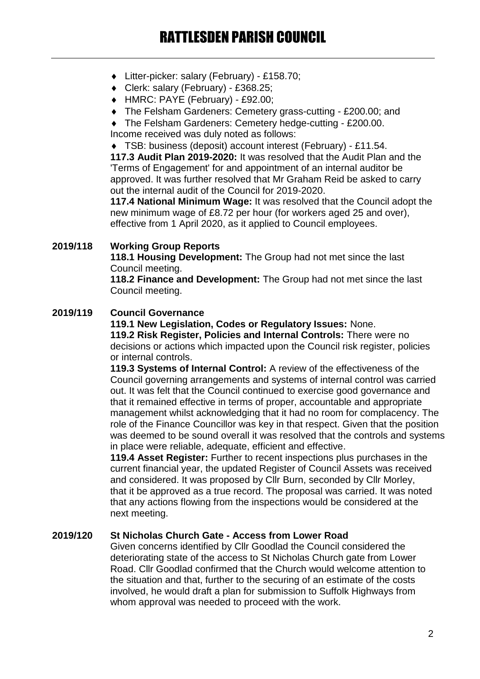- Litter-picker: salary (February) £158.70;
- Clerk: salary (February) £368.25;
- HMRC: PAYE (February) £92.00;
- The Felsham Gardeners: Cemetery grass-cutting £200.00; and

 The Felsham Gardeners: Cemetery hedge-cutting - £200.00. Income received was duly noted as follows:

 TSB: business (deposit) account interest (February) - £11.54. **117.3 Audit Plan 2019-2020:** It was resolved that the Audit Plan and the 'Terms of Engagement' for and appointment of an internal auditor be approved. It was further resolved that Mr Graham Reid be asked to carry out the internal audit of the Council for 2019-2020.

**117.4 National Minimum Wage:** It was resolved that the Council adopt the new minimum wage of £8.72 per hour (for workers aged 25 and over), effective from 1 April 2020, as it applied to Council employees.

### **2019/118 Working Group Reports**

**118.1 Housing Development:** The Group had not met since the last Council meeting.

**118.2 Finance and Development:** The Group had not met since the last Council meeting.

### **2019/119 Council Governance**

**119.1 New Legislation, Codes or Regulatory Issues:** None.

**119.2 Risk Register, Policies and Internal Controls:** There were no decisions or actions which impacted upon the Council risk register, policies or internal controls.

**119.3 Systems of Internal Control:** A review of the effectiveness of the Council governing arrangements and systems of internal control was carried out. It was felt that the Council continued to exercise good governance and that it remained effective in terms of proper, accountable and appropriate management whilst acknowledging that it had no room for complacency. The role of the Finance Councillor was key in that respect. Given that the position was deemed to be sound overall it was resolved that the controls and systems in place were reliable, adequate, efficient and effective.

**119.4 Asset Register:** Further to recent inspections plus purchases in the current financial year, the updated Register of Council Assets was received and considered. It was proposed by Cllr Burn, seconded by Cllr Morley, that it be approved as a true record. The proposal was carried. It was noted that any actions flowing from the inspections would be considered at the next meeting.

#### **2019/120 St Nicholas Church Gate - Access from Lower Road**

Given concerns identified by Cllr Goodlad the Council considered the deteriorating state of the access to St Nicholas Church gate from Lower Road. Cllr Goodlad confirmed that the Church would welcome attention to the situation and that, further to the securing of an estimate of the costs involved, he would draft a plan for submission to Suffolk Highways from whom approval was needed to proceed with the work.